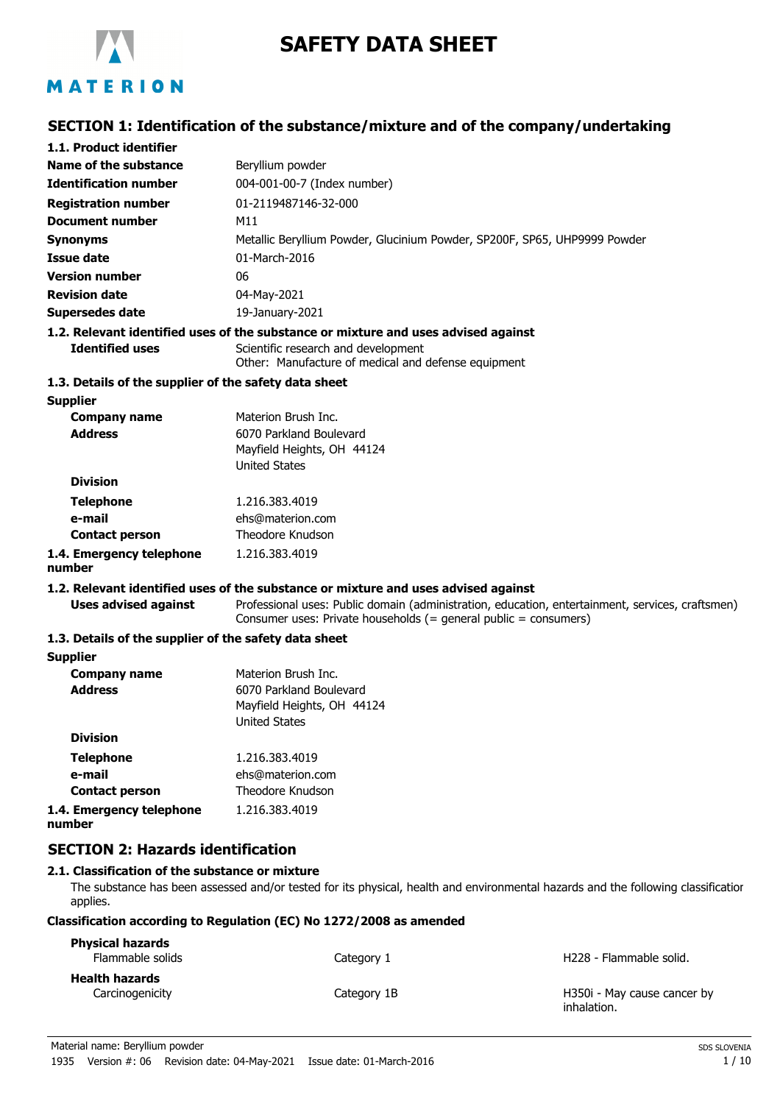

# **SAFETY DATA SHEET**

## **SECTION 1: Identification of the substance/mixture and of the company/undertaking**

| 1.1. Product identifier                               |                                                                                                                                                                      |
|-------------------------------------------------------|----------------------------------------------------------------------------------------------------------------------------------------------------------------------|
| Name of the substance                                 | Beryllium powder                                                                                                                                                     |
| <b>Identification number</b>                          | 004-001-00-7 (Index number)                                                                                                                                          |
| <b>Registration number</b>                            | 01-2119487146-32-000                                                                                                                                                 |
| <b>Document number</b>                                | M11                                                                                                                                                                  |
| <b>Synonyms</b>                                       | Metallic Beryllium Powder, Glucinium Powder, SP200F, SP65, UHP9999 Powder                                                                                            |
| <b>Issue date</b>                                     | 01-March-2016                                                                                                                                                        |
| <b>Version number</b>                                 | 06                                                                                                                                                                   |
| <b>Revision date</b>                                  | 04-May-2021                                                                                                                                                          |
| <b>Supersedes date</b>                                | 19-January-2021                                                                                                                                                      |
|                                                       | 1.2. Relevant identified uses of the substance or mixture and uses advised against                                                                                   |
| <b>Identified uses</b>                                | Scientific research and development<br>Other: Manufacture of medical and defense equipment                                                                           |
| 1.3. Details of the supplier of the safety data sheet |                                                                                                                                                                      |
| <b>Supplier</b>                                       |                                                                                                                                                                      |
| <b>Company name</b>                                   | Materion Brush Inc.                                                                                                                                                  |
| <b>Address</b>                                        | 6070 Parkland Boulevard                                                                                                                                              |
|                                                       | Mayfield Heights, OH 44124                                                                                                                                           |
| <b>Division</b>                                       | <b>United States</b>                                                                                                                                                 |
|                                                       |                                                                                                                                                                      |
| <b>Telephone</b>                                      | 1.216.383.4019                                                                                                                                                       |
| e-mail<br><b>Contact person</b>                       | ehs@materion.com<br>Theodore Knudson                                                                                                                                 |
|                                                       | 1.216.383.4019                                                                                                                                                       |
| 1.4. Emergency telephone<br>number                    |                                                                                                                                                                      |
|                                                       | 1.2. Relevant identified uses of the substance or mixture and uses advised against                                                                                   |
| <b>Uses advised against</b>                           | Professional uses: Public domain (administration, education, entertainment, services, craftsmen)<br>Consumer uses: Private households (= general public = consumers) |
| 1.3. Details of the supplier of the safety data sheet |                                                                                                                                                                      |
| <b>Supplier</b>                                       |                                                                                                                                                                      |
| <b>Company name</b>                                   | Materion Brush Inc.                                                                                                                                                  |
| <b>Address</b>                                        | 6070 Parkland Boulevard                                                                                                                                              |
|                                                       | Mayfield Heights, OH 44124                                                                                                                                           |
| <b>Division</b>                                       | <b>United States</b>                                                                                                                                                 |
|                                                       | 1.216.383.4019                                                                                                                                                       |
| <b>Telephone</b><br>e-mail                            | ehs@materion.com                                                                                                                                                     |
| <b>Contact person</b>                                 | Theodore Knudson                                                                                                                                                     |
| 1.4. Emergency telephone                              | 1.216.383.4019                                                                                                                                                       |
| number                                                |                                                                                                                                                                      |
| <b>SECTION 2: Hazards identification</b>              |                                                                                                                                                                      |

## **2.1. Classification of the substance or mixture**

The substance has been assessed and/or tested for its physical, health and environmental hazards and the following classification applies.

#### **Classification according to Regulation (EC) No 1272/2008 as amended**

| <b>Physical hazards</b><br>Flammable solids | Category 1  | H <sub>228</sub> - Flammable solid.        |
|---------------------------------------------|-------------|--------------------------------------------|
| <b>Health hazards</b>                       |             |                                            |
| Carcinogenicity                             | Category 1B | H350i - May cause cancer by<br>inhalation. |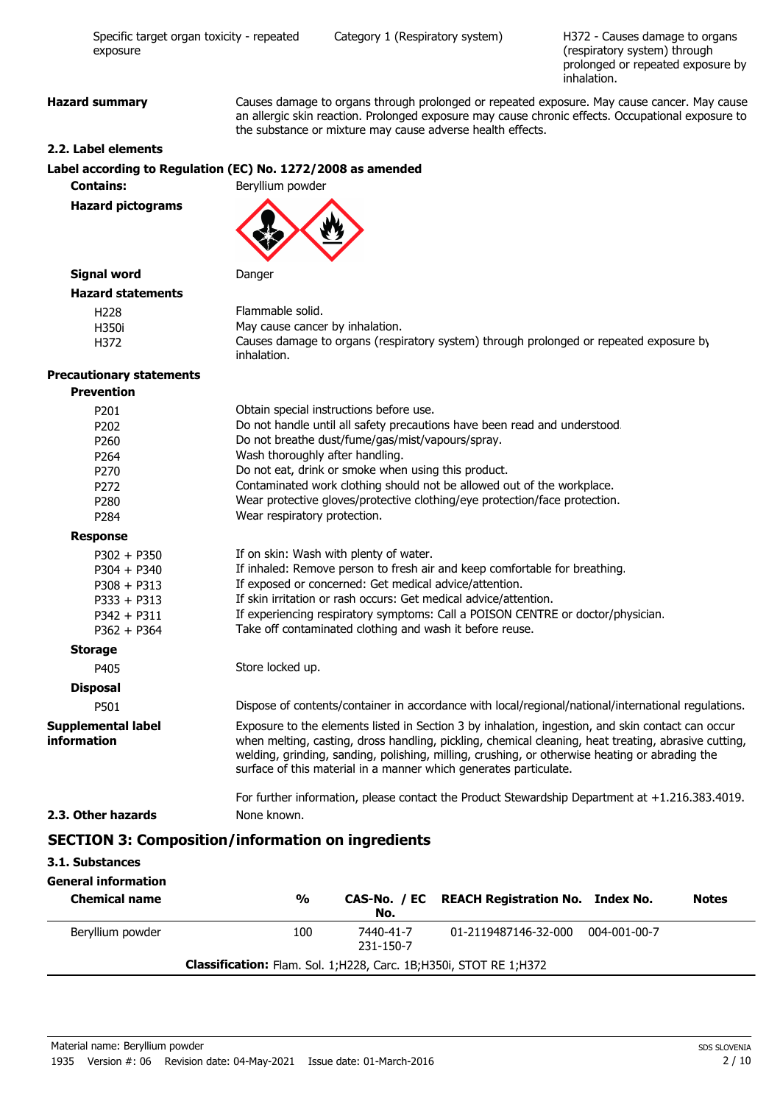H372 - Causes damage to organs (respiratory system) through prolonged or repeated exposure by inhalation.

**Hazard summary** Causes damage to organs through prolonged or repeated exposure. May cause cancer. May cause an allergic skin reaction. Prolonged exposure may cause chronic effects. Occupational exposure to the substance or mixture may cause adverse health effects.

#### **2.2. Label elements**

#### **Label according to Regulation (EC) No. 1272/2008 as amended**

**Contains:** Beryllium powder

**Hazard pictograms**

## **Signal word** Danger

| <b>Hazard statements</b> |                                                                                                       |
|--------------------------|-------------------------------------------------------------------------------------------------------|
| H228                     | Flammable solid.                                                                                      |
| H350i                    | May cause cancer by inhalation.                                                                       |
| H372                     | Causes damage to organs (respiratory system) through prolonged or repeated exposure by<br>inhalation. |

#### **Precautionary statements Prevention**

| <u>Fievenuon</u>                         |                                                                                                                                                                                                                                                                                                                                                                                  |  |
|------------------------------------------|----------------------------------------------------------------------------------------------------------------------------------------------------------------------------------------------------------------------------------------------------------------------------------------------------------------------------------------------------------------------------------|--|
| P201                                     | Obtain special instructions before use.                                                                                                                                                                                                                                                                                                                                          |  |
| P202                                     | Do not handle until all safety precautions have been read and understood.                                                                                                                                                                                                                                                                                                        |  |
| P260                                     | Do not breathe dust/fume/gas/mist/vapours/spray.                                                                                                                                                                                                                                                                                                                                 |  |
| P264                                     | Wash thoroughly after handling.                                                                                                                                                                                                                                                                                                                                                  |  |
| P270                                     | Do not eat, drink or smoke when using this product.                                                                                                                                                                                                                                                                                                                              |  |
| P272                                     | Contaminated work clothing should not be allowed out of the workplace.                                                                                                                                                                                                                                                                                                           |  |
| P280                                     | Wear protective gloves/protective clothing/eye protection/face protection.                                                                                                                                                                                                                                                                                                       |  |
| P284                                     | Wear respiratory protection.                                                                                                                                                                                                                                                                                                                                                     |  |
| <b>Response</b>                          |                                                                                                                                                                                                                                                                                                                                                                                  |  |
| $P302 + P350$                            | If on skin: Wash with plenty of water.                                                                                                                                                                                                                                                                                                                                           |  |
| $P304 + P340$                            | If inhaled: Remove person to fresh air and keep comfortable for breathing.                                                                                                                                                                                                                                                                                                       |  |
| $P308 + P313$                            | If exposed or concerned: Get medical advice/attention.                                                                                                                                                                                                                                                                                                                           |  |
| $P333 + P313$                            | If skin irritation or rash occurs: Get medical advice/attention.                                                                                                                                                                                                                                                                                                                 |  |
| $P342 + P311$                            | If experiencing respiratory symptoms: Call a POISON CENTRE or doctor/physician.                                                                                                                                                                                                                                                                                                  |  |
| $P362 + P364$                            | Take off contaminated clothing and wash it before reuse.                                                                                                                                                                                                                                                                                                                         |  |
| <b>Storage</b>                           |                                                                                                                                                                                                                                                                                                                                                                                  |  |
| P405                                     | Store locked up.                                                                                                                                                                                                                                                                                                                                                                 |  |
| <b>Disposal</b>                          |                                                                                                                                                                                                                                                                                                                                                                                  |  |
| P501                                     | Dispose of contents/container in accordance with local/regional/national/international regulations.                                                                                                                                                                                                                                                                              |  |
| <b>Supplemental label</b><br>information | Exposure to the elements listed in Section 3 by inhalation, ingestion, and skin contact can occur<br>when melting, casting, dross handling, pickling, chemical cleaning, heat treating, abrasive cutting,<br>welding, grinding, sanding, polishing, milling, crushing, or otherwise heating or abrading the<br>surface of this material in a manner which generates particulate. |  |
|                                          | For further information, please contact the Product Stewardship Department at +1.216.383.4019.                                                                                                                                                                                                                                                                                   |  |
| 2.3. Other hazards                       | None known.                                                                                                                                                                                                                                                                                                                                                                      |  |
|                                          | <b>SECTION 3: Composition/information on ingredients</b>                                                                                                                                                                                                                                                                                                                         |  |
| 3.1. Substances                          |                                                                                                                                                                                                                                                                                                                                                                                  |  |
| <b>General information</b>               |                                                                                                                                                                                                                                                                                                                                                                                  |  |
| <b>Chemical name</b>                     | $\frac{9}{6}$<br>CAS-No. / EC<br><b>REACH Registration No. Index No.</b><br><b>Notes</b><br>No.                                                                                                                                                                                                                                                                                  |  |
| Beryllium powder                         | 100<br>7440-41-7<br>01-2119487146-32-000<br>004-001-00-7<br>231-150-7                                                                                                                                                                                                                                                                                                            |  |

**Classification:** Flam. Sol. 1;H228, Carc. 1B;H350i, STOT RE 1;H372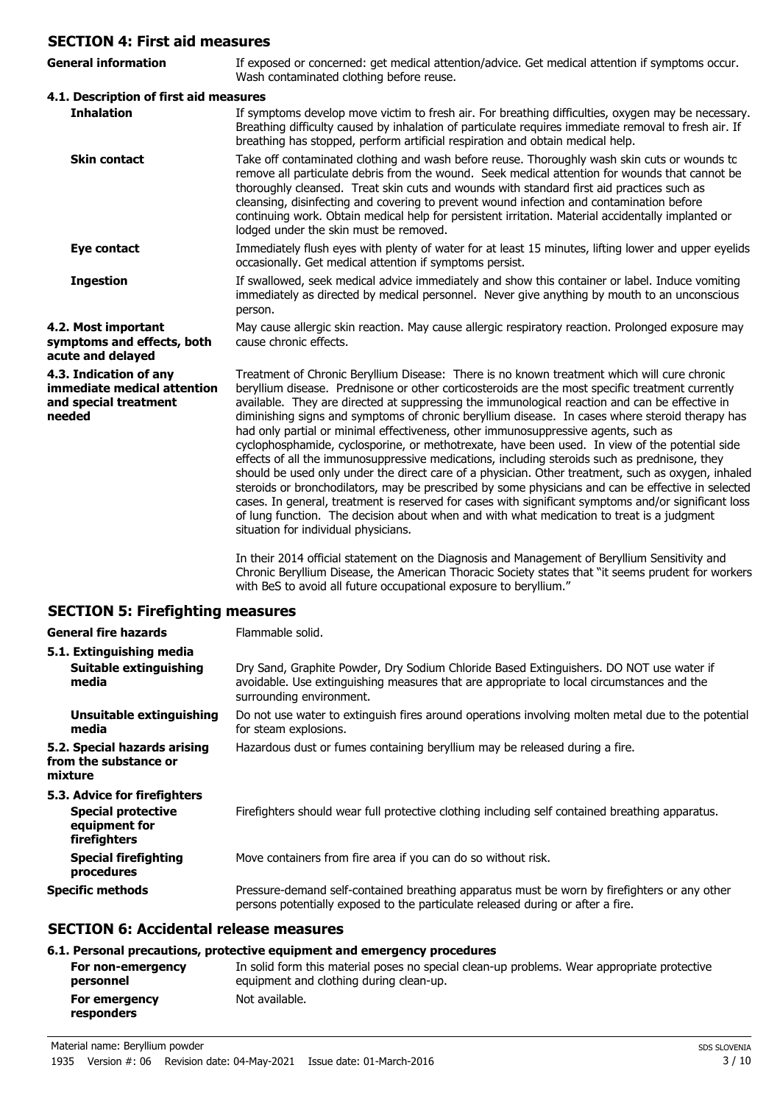## **SECTION 4: First aid measures**

| SECTION 4: First aid measures                                                            |                                                                                                                                                                                                                                                                                                                                                                                                                                                                                                                                                                                                                                                                                                                                                                                                                                                                                                                                                                                                                                                                                                                                                        |  |
|------------------------------------------------------------------------------------------|--------------------------------------------------------------------------------------------------------------------------------------------------------------------------------------------------------------------------------------------------------------------------------------------------------------------------------------------------------------------------------------------------------------------------------------------------------------------------------------------------------------------------------------------------------------------------------------------------------------------------------------------------------------------------------------------------------------------------------------------------------------------------------------------------------------------------------------------------------------------------------------------------------------------------------------------------------------------------------------------------------------------------------------------------------------------------------------------------------------------------------------------------------|--|
| <b>General information</b>                                                               | If exposed or concerned: get medical attention/advice. Get medical attention if symptoms occur.<br>Wash contaminated clothing before reuse.                                                                                                                                                                                                                                                                                                                                                                                                                                                                                                                                                                                                                                                                                                                                                                                                                                                                                                                                                                                                            |  |
| 4.1. Description of first aid measures                                                   |                                                                                                                                                                                                                                                                                                                                                                                                                                                                                                                                                                                                                                                                                                                                                                                                                                                                                                                                                                                                                                                                                                                                                        |  |
| <b>Inhalation</b>                                                                        | If symptoms develop move victim to fresh air. For breathing difficulties, oxygen may be necessary.<br>Breathing difficulty caused by inhalation of particulate requires immediate removal to fresh air. If<br>breathing has stopped, perform artificial respiration and obtain medical help.                                                                                                                                                                                                                                                                                                                                                                                                                                                                                                                                                                                                                                                                                                                                                                                                                                                           |  |
| <b>Skin contact</b>                                                                      | Take off contaminated clothing and wash before reuse. Thoroughly wash skin cuts or wounds to<br>remove all particulate debris from the wound. Seek medical attention for wounds that cannot be<br>thoroughly cleansed. Treat skin cuts and wounds with standard first aid practices such as<br>cleansing, disinfecting and covering to prevent wound infection and contamination before<br>continuing work. Obtain medical help for persistent irritation. Material accidentally implanted or<br>lodged under the skin must be removed.                                                                                                                                                                                                                                                                                                                                                                                                                                                                                                                                                                                                                |  |
| Eye contact                                                                              | Immediately flush eyes with plenty of water for at least 15 minutes, lifting lower and upper eyelids<br>occasionally. Get medical attention if symptoms persist.                                                                                                                                                                                                                                                                                                                                                                                                                                                                                                                                                                                                                                                                                                                                                                                                                                                                                                                                                                                       |  |
| <b>Ingestion</b>                                                                         | If swallowed, seek medical advice immediately and show this container or label. Induce vomiting<br>immediately as directed by medical personnel. Never give anything by mouth to an unconscious<br>person.                                                                                                                                                                                                                                                                                                                                                                                                                                                                                                                                                                                                                                                                                                                                                                                                                                                                                                                                             |  |
| 4.2. Most important<br>symptoms and effects, both<br>acute and delayed                   | May cause allergic skin reaction. May cause allergic respiratory reaction. Prolonged exposure may<br>cause chronic effects.                                                                                                                                                                                                                                                                                                                                                                                                                                                                                                                                                                                                                                                                                                                                                                                                                                                                                                                                                                                                                            |  |
| 4.3. Indication of any<br>immediate medical attention<br>and special treatment<br>needed | Treatment of Chronic Beryllium Disease: There is no known treatment which will cure chronic<br>beryllium disease. Prednisone or other corticosteroids are the most specific treatment currently<br>available. They are directed at suppressing the immunological reaction and can be effective in<br>diminishing signs and symptoms of chronic beryllium disease. In cases where steroid therapy has<br>had only partial or minimal effectiveness, other immunosuppressive agents, such as<br>cyclophosphamide, cyclosporine, or methotrexate, have been used. In view of the potential side<br>effects of all the immunosuppressive medications, including steroids such as prednisone, they<br>should be used only under the direct care of a physician. Other treatment, such as oxygen, inhaled<br>steroids or bronchodilators, may be prescribed by some physicians and can be effective in selected<br>cases. In general, treatment is reserved for cases with significant symptoms and/or significant loss<br>of lung function. The decision about when and with what medication to treat is a judgment<br>situation for individual physicians. |  |
|                                                                                          | In their 2014 official statement on the Diagnosis and Management of Beryllium Sensitivity and<br>Chronic Beryllium Disease, the American Thoracic Society states that "it seems prudent for workers<br>with BeS to avoid all future occupational exposure to beryllium."                                                                                                                                                                                                                                                                                                                                                                                                                                                                                                                                                                                                                                                                                                                                                                                                                                                                               |  |

## **SECTION 5: Firefighting measures**

| <b>General fire hazards</b>                                                                | Flammable solid.                                                                                                                                                                                                 |  |
|--------------------------------------------------------------------------------------------|------------------------------------------------------------------------------------------------------------------------------------------------------------------------------------------------------------------|--|
| 5.1. Extinguishing media<br>Suitable extinguishing<br>media                                | Dry Sand, Graphite Powder, Dry Sodium Chloride Based Extinguishers. DO NOT use water if<br>avoidable. Use extinguishing measures that are appropriate to local circumstances and the<br>surrounding environment. |  |
| Unsuitable extinguishing<br>media                                                          | Do not use water to extinguish fires around operations involving molten metal due to the potential<br>for steam explosions.                                                                                      |  |
| 5.2. Special hazards arising<br>from the substance or<br>mixture                           | Hazardous dust or fumes containing beryllium may be released during a fire.                                                                                                                                      |  |
| 5.3. Advice for firefighters<br><b>Special protective</b><br>equipment for<br>firefighters | Firefighters should wear full protective clothing including self contained breathing apparatus.                                                                                                                  |  |
| <b>Special firefighting</b><br>procedures                                                  | Move containers from fire area if you can do so without risk.                                                                                                                                                    |  |
| <b>Specific methods</b>                                                                    | Pressure-demand self-contained breathing apparatus must be worn by firefighters or any other<br>persons potentially exposed to the particulate released during or after a fire.                                  |  |

## **SECTION 6: Accidental release measures**

## **6.1. Personal precautions, protective equipment and emergency procedures**

| For non-emergency           | In solid form this material poses no special clean-up problems. Wear appropriate protective |
|-----------------------------|---------------------------------------------------------------------------------------------|
| personnel                   | equipment and clothing during clean-up.                                                     |
| For emergency<br>responders | Not available.                                                                              |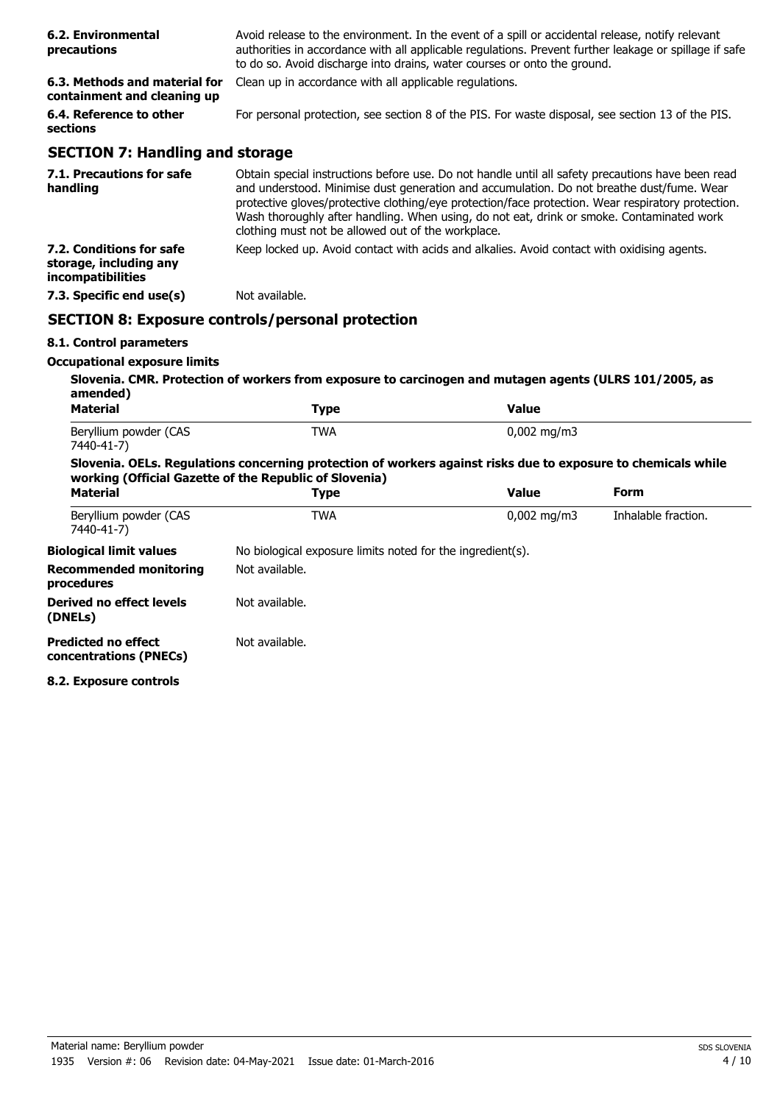| 6.2. Environmental<br>precautions                            | Avoid release to the environment. In the event of a spill or accidental release, notify relevant<br>authorities in accordance with all applicable regulations. Prevent further leakage or spillage if safe<br>to do so. Avoid discharge into drains, water courses or onto the ground.                                                                                                                                                                  |
|--------------------------------------------------------------|---------------------------------------------------------------------------------------------------------------------------------------------------------------------------------------------------------------------------------------------------------------------------------------------------------------------------------------------------------------------------------------------------------------------------------------------------------|
| 6.3. Methods and material for<br>containment and cleaning up | Clean up in accordance with all applicable regulations.                                                                                                                                                                                                                                                                                                                                                                                                 |
| 6.4. Reference to other<br>sections                          | For personal protection, see section 8 of the PIS. For waste disposal, see section 13 of the PIS.                                                                                                                                                                                                                                                                                                                                                       |
| <b>SECTION 7: Handling and storage</b>                       |                                                                                                                                                                                                                                                                                                                                                                                                                                                         |
| 7.1. Precautions for safe<br>handling                        | Obtain special instructions before use. Do not handle until all safety precautions have been read<br>and understood. Minimise dust generation and accumulation. Do not breathe dust/fume. Wear<br>protective gloves/protective clothing/eye protection/face protection. Wear respiratory protection.<br>Wash thoroughly after handling. When using, do not eat, drink or smoke. Contaminated work<br>clothing must not be allowed out of the workplace. |
| 7.2. Conditions for safe                                     | Keep locked up. Avoid contact with acids and alkalies. Avoid contact with oxidising agents.                                                                                                                                                                                                                                                                                                                                                             |

**7.3. Specific end use(s)** Not available.

## **SECTION 8: Exposure controls/personal protection**

## **8.1. Control parameters**

**storage, including any incompatibilities**

## **Occupational exposure limits**

| <b>Material</b>                                      | <b>Type</b>                                                                                                                                                             | <b>Value</b>            |                     |
|------------------------------------------------------|-------------------------------------------------------------------------------------------------------------------------------------------------------------------------|-------------------------|---------------------|
| Beryllium powder (CAS<br>7440-41-7)                  | TWA                                                                                                                                                                     | $0,002 \,\mathrm{mg/m}$ |                     |
|                                                      | Slovenia. OELs. Regulations concerning protection of workers against risks due to exposure to chemicals while<br>working (Official Gazette of the Republic of Slovenia) |                         |                     |
| <b>Material</b>                                      | Type                                                                                                                                                                    | <b>Value</b>            | Form                |
| Beryllium powder (CAS<br>7440-41-7)                  | TWA                                                                                                                                                                     | $0.002 \text{ mg/m}$    | Inhalable fraction. |
| <b>Biological limit values</b>                       | No biological exposure limits noted for the ingredient(s).                                                                                                              |                         |                     |
| <b>Recommended monitoring</b><br>procedures          | Not available.                                                                                                                                                          |                         |                     |
| Derived no effect levels<br>(DNELs)                  | Not available.                                                                                                                                                          |                         |                     |
| <b>Predicted no effect</b><br>concentrations (PNECs) | Not available.                                                                                                                                                          |                         |                     |

**8.2. Exposure controls**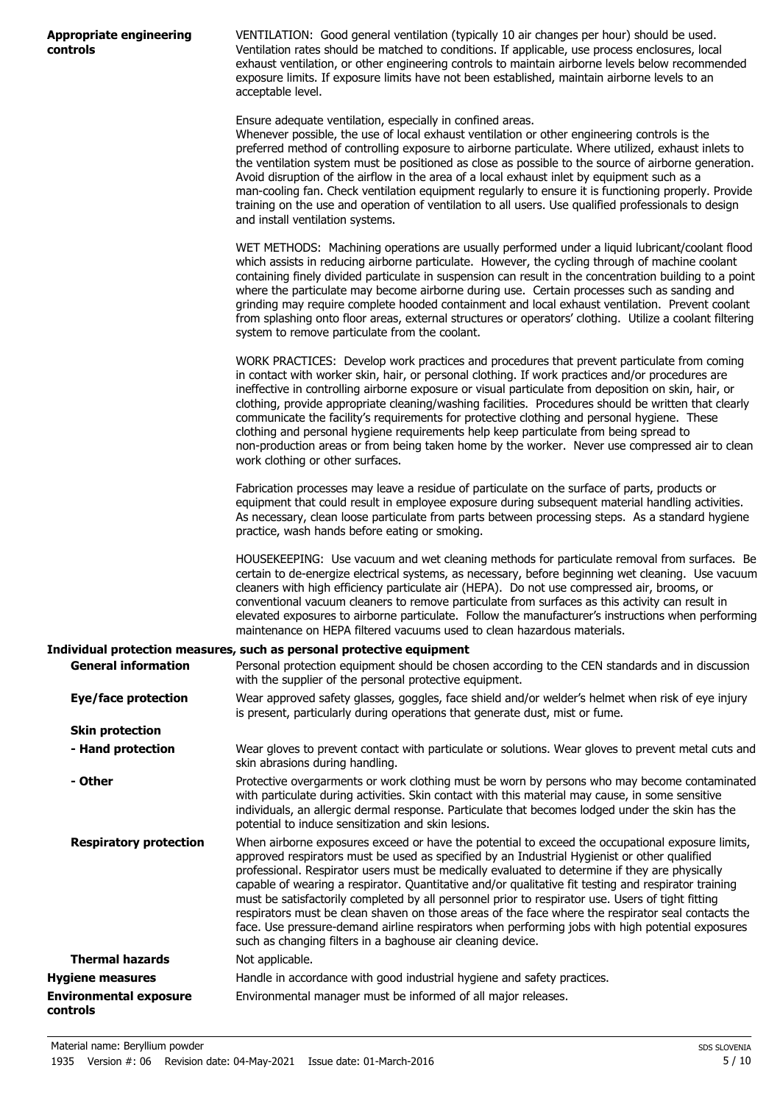|          | Appropriate engineering |
|----------|-------------------------|
| controls |                         |

VENTILATION: Good general ventilation (typically 10 air changes per hour) should be used. Ventilation rates should be matched to conditions. If applicable, use process enclosures, local exhaust ventilation, or other engineering controls to maintain airborne levels below recommended exposure limits. If exposure limits have not been established, maintain airborne levels to an acceptable level.

Ensure adequate ventilation, especially in confined areas.

Whenever possible, the use of local exhaust ventilation or other engineering controls is the preferred method of controlling exposure to airborne particulate. Where utilized, exhaust inlets to the ventilation system must be positioned as close as possible to the source of airborne generation. Avoid disruption of the airflow in the area of a local exhaust inlet by equipment such as a man-cooling fan. Check ventilation equipment regularly to ensure it is functioning properly. Provide training on the use and operation of ventilation to all users. Use qualified professionals to design and install ventilation systems.

WET METHODS: Machining operations are usually performed under a liquid lubricant/coolant flood which assists in reducing airborne particulate. However, the cycling through of machine coolant containing finely divided particulate in suspension can result in the concentration building to a point where the particulate may become airborne during use. Certain processes such as sanding and grinding may require complete hooded containment and local exhaust ventilation. Prevent coolant from splashing onto floor areas, external structures or operators' clothing. Utilize a coolant filtering system to remove particulate from the coolant.

WORK PRACTICES: Develop work practices and procedures that prevent particulate from coming in contact with worker skin, hair, or personal clothing. If work practices and/or procedures are ineffective in controlling airborne exposure or visual particulate from deposition on skin, hair, or clothing, provide appropriate cleaning/washing facilities. Procedures should be written that clearly communicate the facility's requirements for protective clothing and personal hygiene. These clothing and personal hygiene requirements help keep particulate from being spread to non-production areas or from being taken home by the worker. Never use compressed air to clean work clothing or other surfaces.

Fabrication processes may leave a residue of particulate on the surface of parts, products or equipment that could result in employee exposure during subsequent material handling activities. As necessary, clean loose particulate from parts between processing steps. As a standard hygiene practice, wash hands before eating or smoking.

HOUSEKEEPING: Use vacuum and wet cleaning methods for particulate removal from surfaces. Be certain to de-energize electrical systems, as necessary, before beginning wet cleaning. Use vacuum cleaners with high efficiency particulate air (HEPA). Do not use compressed air, brooms, or conventional vacuum cleaners to remove particulate from surfaces as this activity can result in elevated exposures to airborne particulate. Follow the manufacturer's instructions when performing maintenance on HEPA filtered vacuums used to clean hazardous materials.

#### **Individual protection measures, such as personal protective equipment**

| <b>General information</b>                | Personal protection equipment should be chosen according to the CEN standards and in discussion<br>with the supplier of the personal protective equipment.                                                                                                                                                                                                                                                                                                                                                                                                                                                                                                                                                                                                                               |
|-------------------------------------------|------------------------------------------------------------------------------------------------------------------------------------------------------------------------------------------------------------------------------------------------------------------------------------------------------------------------------------------------------------------------------------------------------------------------------------------------------------------------------------------------------------------------------------------------------------------------------------------------------------------------------------------------------------------------------------------------------------------------------------------------------------------------------------------|
| Eye/face protection                       | Wear approved safety glasses, goggles, face shield and/or welder's helmet when risk of eye injury<br>is present, particularly during operations that generate dust, mist or fume.                                                                                                                                                                                                                                                                                                                                                                                                                                                                                                                                                                                                        |
| <b>Skin protection</b>                    |                                                                                                                                                                                                                                                                                                                                                                                                                                                                                                                                                                                                                                                                                                                                                                                          |
| - Hand protection                         | Wear gloves to prevent contact with particulate or solutions. Wear gloves to prevent metal cuts and<br>skin abrasions during handling.                                                                                                                                                                                                                                                                                                                                                                                                                                                                                                                                                                                                                                                   |
| - Other                                   | Protective overgarments or work clothing must be worn by persons who may become contaminated<br>with particulate during activities. Skin contact with this material may cause, in some sensitive<br>individuals, an allergic dermal response. Particulate that becomes lodged under the skin has the<br>potential to induce sensitization and skin lesions.                                                                                                                                                                                                                                                                                                                                                                                                                              |
| <b>Respiratory protection</b>             | When airborne exposures exceed or have the potential to exceed the occupational exposure limits,<br>approved respirators must be used as specified by an Industrial Hygienist or other qualified<br>professional. Respirator users must be medically evaluated to determine if they are physically<br>capable of wearing a respirator. Quantitative and/or qualitative fit testing and respirator training<br>must be satisfactorily completed by all personnel prior to respirator use. Users of tight fitting<br>respirators must be clean shaven on those areas of the face where the respirator seal contacts the<br>face. Use pressure-demand airline respirators when performing jobs with high potential exposures<br>such as changing filters in a baghouse air cleaning device. |
| <b>Thermal hazards</b>                    | Not applicable.                                                                                                                                                                                                                                                                                                                                                                                                                                                                                                                                                                                                                                                                                                                                                                          |
| <b>Hygiene measures</b>                   | Handle in accordance with good industrial hygiene and safety practices.                                                                                                                                                                                                                                                                                                                                                                                                                                                                                                                                                                                                                                                                                                                  |
| <b>Environmental exposure</b><br>controls | Environmental manager must be informed of all major releases.                                                                                                                                                                                                                                                                                                                                                                                                                                                                                                                                                                                                                                                                                                                            |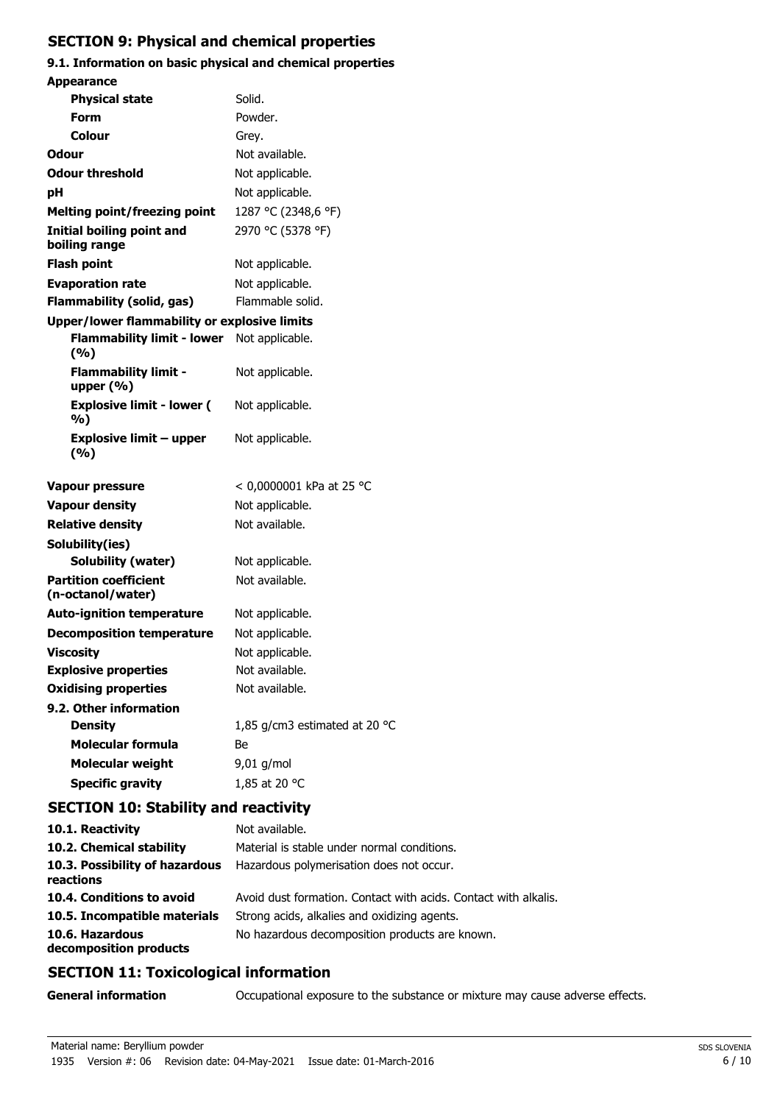## **SECTION 9: Physical and chemical properties**

## **9.1. Information on basic physical and chemical properties Appearance**

| Appearance                                          |                               |
|-----------------------------------------------------|-------------------------------|
| <b>Physical state</b>                               | Solid.                        |
| Form                                                | Powder.                       |
| Colour                                              | Grey.                         |
| <b>Odour</b>                                        | Not available.                |
| <b>Odour threshold</b>                              | Not applicable.               |
| рH                                                  | Not applicable.               |
| <b>Melting point/freezing point</b>                 | 1287 °C (2348,6 °F)           |
| <b>Initial boiling point and</b><br>boiling range   | 2970 °C (5378 °F)             |
| <b>Flash point</b>                                  | Not applicable.               |
| <b>Evaporation rate</b>                             | Not applicable.               |
| Flammability (solid, gas)                           | Flammable solid.              |
| <b>Upper/lower flammability or explosive limits</b> |                               |
| <b>Flammability limit - lower</b><br>(9/6)          | Not applicable.               |
| <b>Flammability limit -</b><br>upper $(% )$         | Not applicable.               |
| <b>Explosive limit - lower (</b><br>%)              | Not applicable.               |
| <b>Explosive limit - upper</b><br>(%)               | Not applicable.               |
| <b>Vapour pressure</b>                              | < 0,0000001 kPa at 25 °C      |
| <b>Vapour density</b>                               | Not applicable.               |
| <b>Relative density</b>                             | Not available.                |
| Solubility(ies)                                     |                               |
| Solubility (water)                                  | Not applicable.               |
| <b>Partition coefficient</b><br>(n-octanol/water)   | Not available.                |
| <b>Auto-ignition temperature</b>                    | Not applicable.               |
| <b>Decomposition temperature</b>                    | Not applicable.               |
| <b>Viscosity</b>                                    | Not applicable.               |
| <b>Explosive properties</b>                         | Not available.                |
| <b>Oxidising properties</b>                         | Not available.                |
| 9.2. Other information                              |                               |
| <b>Density</b>                                      | 1,85 g/cm3 estimated at 20 °C |
| <b>Molecular formula</b>                            | Вe                            |
| <b>Molecular weight</b>                             | 9,01 g/mol                    |
| <b>Specific gravity</b>                             | 1,85 at 20 °C                 |
|                                                     |                               |

## **SECTION 10: Stability and reactivity**

| Not available.                                                  |
|-----------------------------------------------------------------|
| Material is stable under normal conditions.                     |
| Hazardous polymerisation does not occur.                        |
| Avoid dust formation. Contact with acids. Contact with alkalis. |
| Strong acids, alkalies and oxidizing agents.                    |
| No hazardous decomposition products are known.                  |
|                                                                 |

## **SECTION 11: Toxicological information**

**General information CCCUPATION** Occupational exposure to the substance or mixture may cause adverse effects.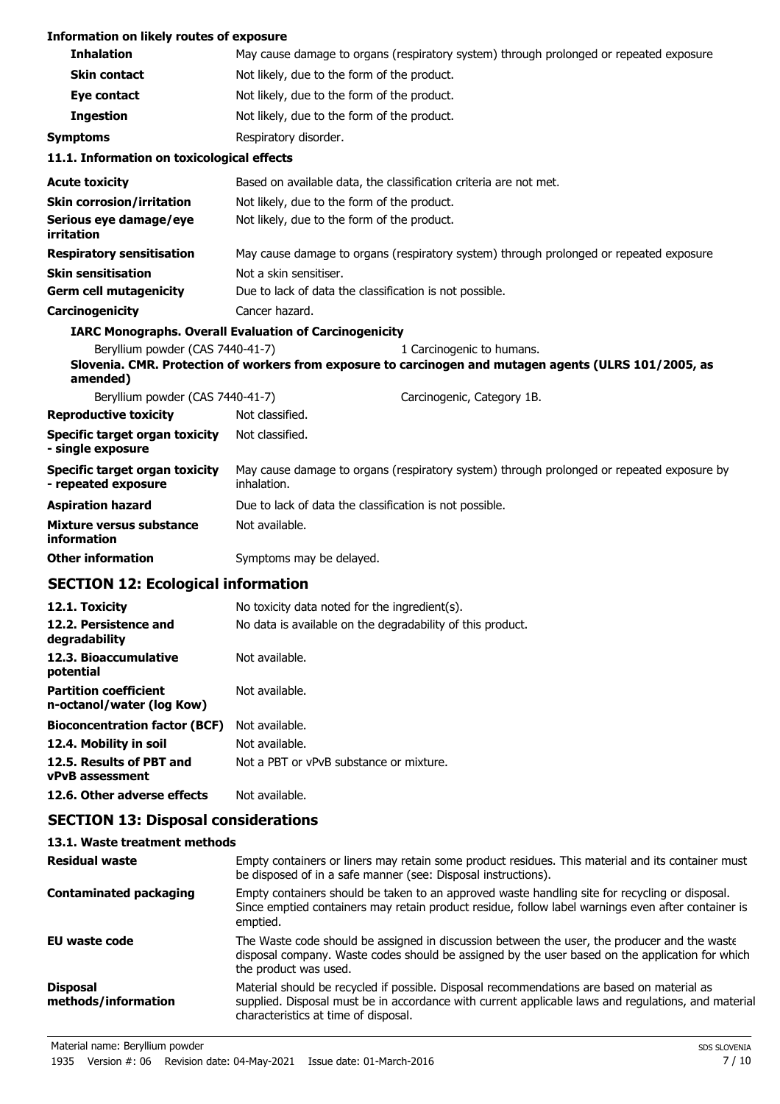## **Information on likely routes of exposure**

| <b>Inhalation</b>                                            |                                                                                                          | May cause damage to organs (respiratory system) through prolonged or repeated exposure.                                             |
|--------------------------------------------------------------|----------------------------------------------------------------------------------------------------------|-------------------------------------------------------------------------------------------------------------------------------------|
| <b>Skin contact</b>                                          | Not likely, due to the form of the product.                                                              |                                                                                                                                     |
| Eye contact                                                  | Not likely, due to the form of the product.                                                              |                                                                                                                                     |
| <b>Ingestion</b>                                             | Not likely, due to the form of the product.                                                              |                                                                                                                                     |
| <b>Symptoms</b>                                              | Respiratory disorder.                                                                                    |                                                                                                                                     |
| 11.1. Information on toxicological effects                   |                                                                                                          |                                                                                                                                     |
| <b>Acute toxicity</b>                                        | Based on available data, the classification criteria are not met.                                        |                                                                                                                                     |
| <b>Skin corrosion/irritation</b>                             | Not likely, due to the form of the product.                                                              |                                                                                                                                     |
| Serious eye damage/eye<br>irritation                         | Not likely, due to the form of the product.                                                              |                                                                                                                                     |
| <b>Respiratory sensitisation</b>                             |                                                                                                          | May cause damage to organs (respiratory system) through prolonged or repeated exposure.                                             |
| <b>Skin sensitisation</b>                                    | Not a skin sensitiser.                                                                                   |                                                                                                                                     |
| <b>Germ cell mutagenicity</b>                                | Due to lack of data the classification is not possible.                                                  |                                                                                                                                     |
| Carcinogenicity                                              | Cancer hazard.                                                                                           |                                                                                                                                     |
|                                                              | <b>IARC Monographs. Overall Evaluation of Carcinogenicity</b>                                            |                                                                                                                                     |
| Beryllium powder (CAS 7440-41-7)<br>amended)                 |                                                                                                          | 1 Carcinogenic to humans.<br>Slovenia. CMR. Protection of workers from exposure to carcinogen and mutagen agents (ULRS 101/2005, as |
| Beryllium powder (CAS 7440-41-7)                             |                                                                                                          | Carcinogenic, Category 1B.                                                                                                          |
| <b>Reproductive toxicity</b>                                 | Not classified.                                                                                          |                                                                                                                                     |
| Specific target organ toxicity<br>- single exposure          | Not classified.                                                                                          |                                                                                                                                     |
| <b>Specific target organ toxicity</b><br>- repeated exposure | May cause damage to organs (respiratory system) through prolonged or repeated exposure by<br>inhalation. |                                                                                                                                     |
| <b>Aspiration hazard</b>                                     | Due to lack of data the classification is not possible.                                                  |                                                                                                                                     |
| Mixture versus substance<br>information                      | Not available.                                                                                           |                                                                                                                                     |
| <b>Other information</b>                                     | Symptoms may be delayed.                                                                                 |                                                                                                                                     |
|                                                              |                                                                                                          |                                                                                                                                     |

## **SECTION 12: Ecological information**

| 12.1. Toxicity                                            | No toxicity data noted for the ingredient(s).              |
|-----------------------------------------------------------|------------------------------------------------------------|
| 12.2. Persistence and<br>degradability                    | No data is available on the degradability of this product. |
| 12.3. Bioaccumulative<br>potential                        | Not available.                                             |
| <b>Partition coefficient</b><br>n-octanol/water (log Kow) | Not available.                                             |
| <b>Bioconcentration factor (BCF)</b>                      | Not available.                                             |
| 12.4. Mobility in soil                                    | Not available.                                             |
| 12.5. Results of PBT and<br><b>vPvB</b> assessment        | Not a PBT or vPvB substance or mixture.                    |
| 12.6. Other adverse effects                               | Not available.                                             |

## **SECTION 13: Disposal considerations**

| 13.1. Waste treatment methods                                                                                                                                                                                                             |
|-------------------------------------------------------------------------------------------------------------------------------------------------------------------------------------------------------------------------------------------|
| Empty containers or liners may retain some product residues. This material and its container must<br>be disposed of in a safe manner (see: Disposal instructions).                                                                        |
| Empty containers should be taken to an approved waste handling site for recycling or disposal.<br>Since emptied containers may retain product residue, follow label warnings even after container is<br>emptied.                          |
| The Waste code should be assigned in discussion between the user, the producer and the waste<br>disposal company. Waste codes should be assigned by the user based on the application for which<br>the product was used.                  |
| Material should be recycled if possible. Disposal recommendations are based on material as<br>supplied. Disposal must be in accordance with current applicable laws and regulations, and material<br>characteristics at time of disposal. |
|                                                                                                                                                                                                                                           |

Material name: Beryllium powder Superior Superior Space Superior Space Superior Space Superior Space Superior Space Superior Space Superior Space Superior Space Superior Space Superior Space Superior Space Superior Space S

1935 Version #: 06 Revision date: 04-May-2021 Issue date: 01-March-2016 7 / 10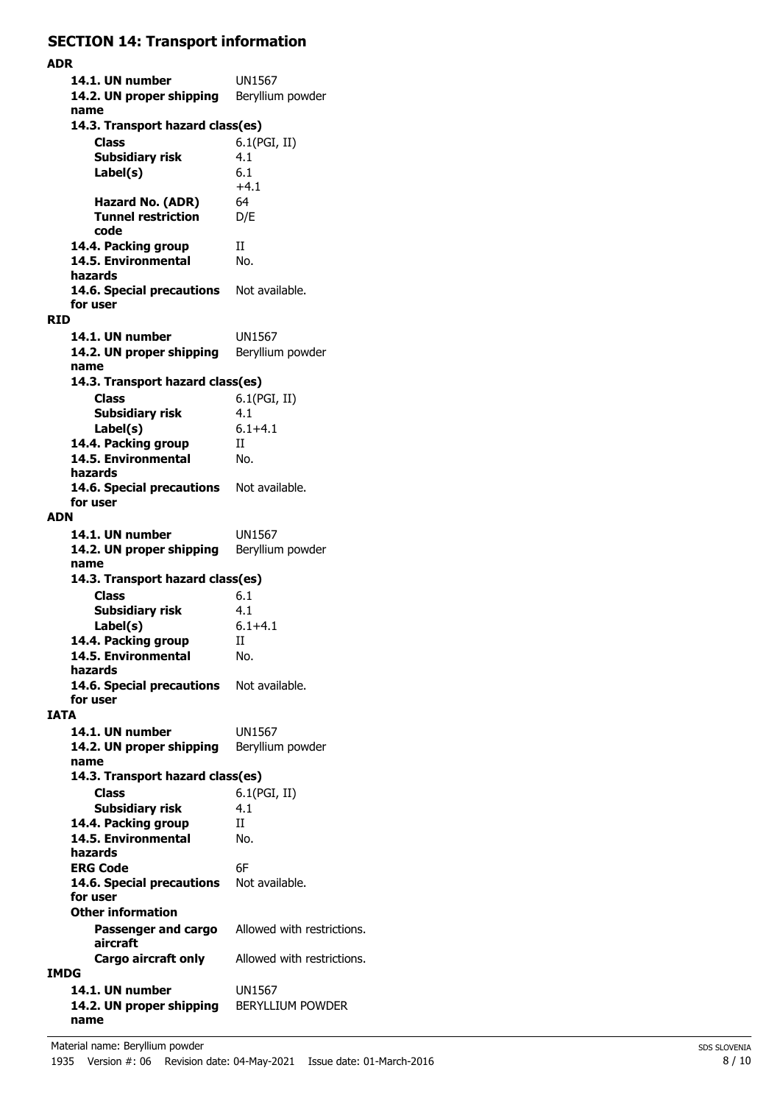## **SECTION 14: Transport information**

**ADR 14.1. UN number** UN1567 14.2. UN proper shipping Beryllium powder **name Class** 6.1(PGI, II) **14.3. Transport hazard class(es) Subsidiary risk** 4.1 6.1  $+4.1$ **Label(s) Hazard No. (ADR)** 64 **Tunnel restriction** D/E **code 14.4. Packing group** II 14.5. Environmental No. **hazards** 14.6. Special precautions Not available. **for user RID 14.1. UN number** UN1567 14.2. UN proper shipping Beryllium powder **name Class** 6.1(PGI, II) **14.3. Transport hazard class(es) Subsidiary risk** 4.1 **Label(s)** 6.1+4.1 14.4. Packing group **II 14.5. Environmental** No. **hazards** 14.6. Special precautions Not available. **for user ADN 14.1. UN number** UN1567 14.2. UN proper shipping Beryllium powder **name Class** 6.1 **14.3. Transport hazard class(es) Subsidiary risk** 4.1 **Label(s)** 6.1+4.1 14.4. Packing group II **14.5. Environmental** No. **hazards** 14.6. Special precautions Not available. **for user IATA 14.1. UN number** UN1567 14.2. UN proper shipping Beryllium powder **name Class** 6.1(PGI, II) **14.3. Transport hazard class(es) Subsidiary risk** 4.1 14.4. Packing group II **14.5. Environmental** No. **hazards ERG Code** 6F 14.6. Special precautions Not available. **for user Passenger and cargo** Allowed with restrictions. **aircraft Other information Cargo aircraft only** Allowed with restrictions. **IMDG 14.1. UN number** UN1567 **14.2. UN proper shipping** BERYLLIUM POWDER **name**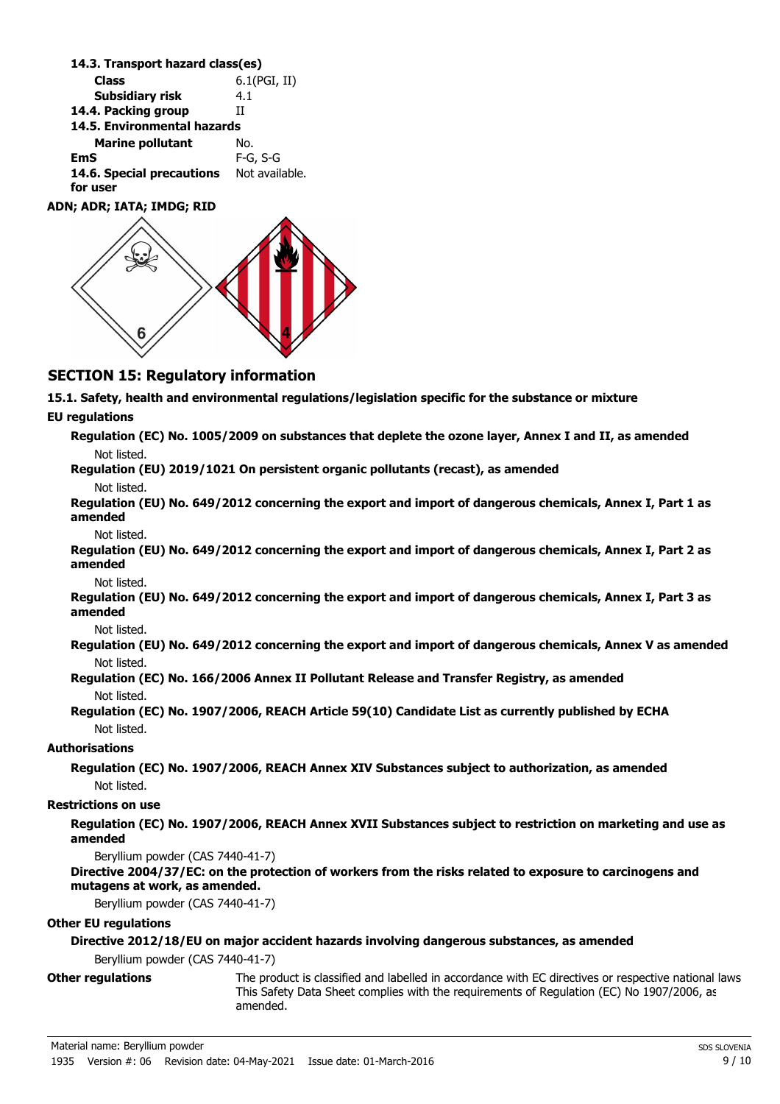**Class** 6.1(PGI, II) **14.3. Transport hazard class(es) Subsidiary risk** 4.1 **14.4. Packing group** II **Marine pollutant** No. **14.5. Environmental hazards EmS** F-G, S-G 14.6. Special precautions Not available. **for user ADN; ADR; IATA; IMDG; RID**

## **SECTION 15: Regulatory information**

**15.1. Safety, health and environmental regulations/legislation specific for the substance or mixture**

#### **EU regulations**

| Regulation (EC) No. 1005/2009 on substances that deplete the ozone layer, Annex I and II, as amended |
|------------------------------------------------------------------------------------------------------|
| Not listed.                                                                                          |
| Requistion (FII) 2019/1021 On persistent organic pollutants (recast) as amended                      |

**Regulation (EU) 2019/1021 On persistent organic pollutants (recast), as amended**

Not listed.

**Regulation (EU) No. 649/2012 concerning the export and import of dangerous chemicals, Annex I, Part 1 as amended**

Not listed.

**Regulation (EU) No. 649/2012 concerning the export and import of dangerous chemicals, Annex I, Part 2 as amended**

Not listed.

**Regulation (EU) No. 649/2012 concerning the export and import of dangerous chemicals, Annex I, Part 3 as amended**

Not listed.

**Regulation (EU) No. 649/2012 concerning the export and import of dangerous chemicals, Annex V as amended** Not listed.

**Regulation (EC) No. 166/2006 Annex II Pollutant Release and Transfer Registry, as amended** Not listed.

**Regulation (EC) No. 1907/2006, REACH Article 59(10) Candidate List as currently published by ECHA** Not listed.

## **Authorisations**

**Regulation (EC) No. 1907/2006, REACH Annex XIV Substances subject to authorization, as amended** Not listed.

#### **Restrictions on use**

**Regulation (EC) No. 1907/2006, REACH Annex XVII Substances subject to restriction on marketing and use as amended**

Beryllium powder (CAS 7440-41-7)

#### **Directive 2004/37/EC: on the protection of workers from the risks related to exposure to carcinogens and mutagens at work, as amended.**

Beryllium powder (CAS 7440-41-7)

#### **Other EU regulations**

### **Directive 2012/18/EU on major accident hazards involving dangerous substances, as amended**

Beryllium powder (CAS 7440-41-7)

**Other regulations**

The product is classified and labelled in accordance with EC directives or respective national laws. This Safety Data Sheet complies with the requirements of Regulation (EC) No 1907/2006, as amended.